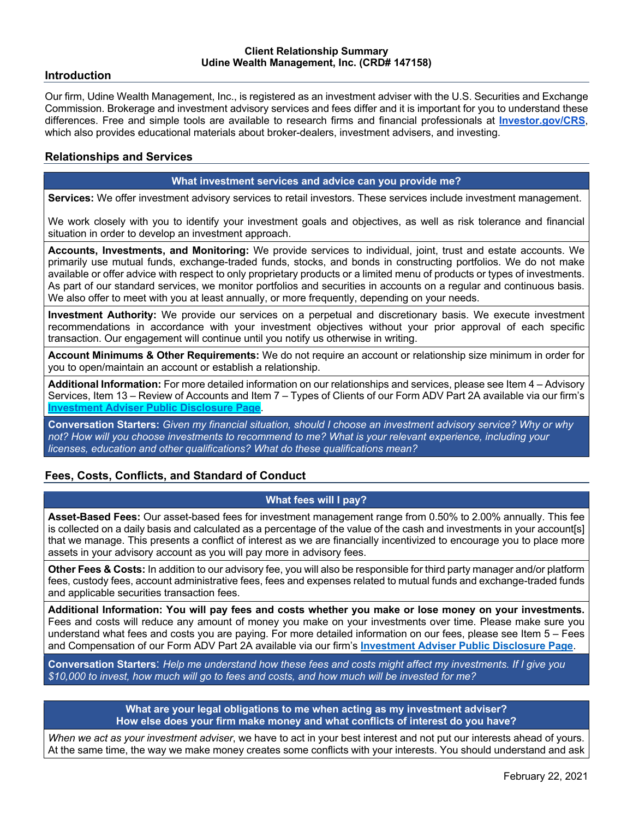#### **Client Relationship Summary Udine Wealth Management, Inc. (CRD# 147158)**

### **Introduction**

Our firm, Udine Wealth Management, Inc., is registered as an investment adviser with the U.S. Securities and Exchange Commission. Brokerage and investment advisory services and fees differ and it is important for you to understand these differences. Free and simple tools are available to research firms and financial professionals at **Investor.gov/CRS**, which also provides educational materials about broker-dealers, investment advisers, and investing.

## **Relationships and Services**

### **What investment services and advice can you provide me?**

**Services:** We offer investment advisory services to retail investors. These services include investment management.

We work closely with you to identify your investment goals and objectives, as well as risk tolerance and financial situation in order to develop an investment approach.

**Accounts, Investments, and Monitoring:** We provide services to individual, joint, trust and estate accounts. We primarily use mutual funds, exchange-traded funds, stocks, and bonds in constructing portfolios. We do not make available or offer advice with respect to only proprietary products or a limited menu of products or types of investments. As part of our standard services, we monitor portfolios and securities in accounts on a regular and continuous basis. We also offer to meet with you at least annually, or more frequently, depending on your needs.

**Investment Authority:** We provide our services on a perpetual and discretionary basis. We execute investment recommendations in accordance with your investment objectives without your prior approval of each specific transaction. Our engagement will continue until you notify us otherwise in writing.

**Account Minimums & Other Requirements:** We do not require an account or relationship size minimum in order for you to open/maintain an account or establish a relationship.

**Additional Information:** For more detailed information on our relationships and services, please see Item 4 – Advisory Services, Item 13 – Review of Accounts and Item 7 – Types of Clients of our Form ADV Part 2A available via our firm's **Investment Adviser Public Disclosure Page**.

**Conversation Starters:** *Given my financial situation, should I choose an investment advisory service? Why or why not? How will you choose investments to recommend to me? What is your relevant experience, including your licenses, education and other qualifications? What do these qualifications mean?*

# **Fees, Costs, Conflicts, and Standard of Conduct**

## **What fees will I pay?**

**Asset-Based Fees:** Our asset-based fees for investment management range from 0.50% to 2.00% annually. This fee is collected on a daily basis and calculated as a percentage of the value of the cash and investments in your account[s] that we manage. This presents a conflict of interest as we are financially incentivized to encourage you to place more assets in your advisory account as you will pay more in advisory fees.

**Other Fees & Costs:** In addition to our advisory fee, you will also be responsible for third party manager and/or platform fees, custody fees, account administrative fees, fees and expenses related to mutual funds and exchange-traded funds and applicable securities transaction fees.

**Additional Information: You will pay fees and costs whether you make or lose money on your investments.**  Fees and costs will reduce any amount of money you make on your investments over time. Please make sure you understand what fees and costs you are paying. For more detailed information on our fees, please see Item 5 – Fees and Compensation of our Form ADV Part 2A available via our firm's **Investment Adviser Public Disclosure Page**.

**Conversation Starters**: *Help me understand how these fees and costs might affect my investments. If I give you \$10,000 to invest, how much will go to fees and costs, and how much will be invested for me?*

> **What are your legal obligations to me when acting as my investment adviser? How else does your firm make money and what conflicts of interest do you have?**

*When we act as your investment adviser*, we have to act in your best interest and not put our interests ahead of yours. At the same time, the way we make money creates some conflicts with your interests. You should understand and ask